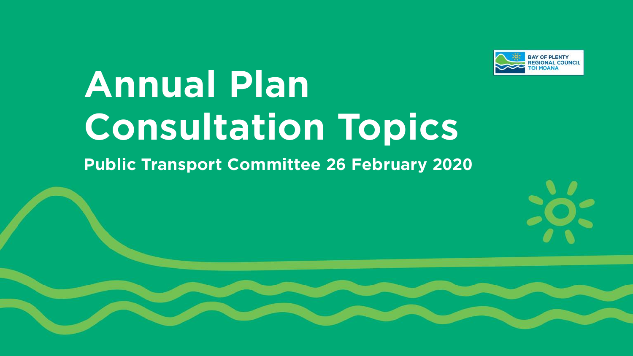

# **Annual Plan Consultation Topics**

## **Public Transport Committee 26 February 2020**

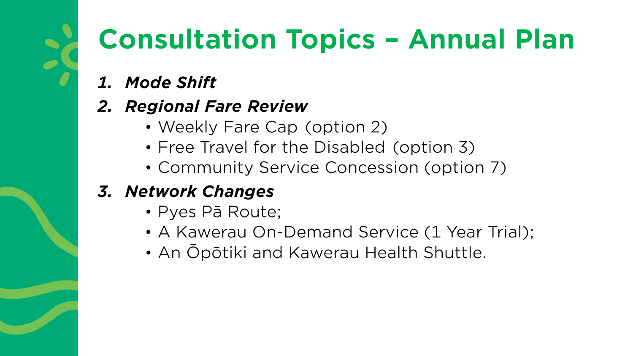# **Consultation Topics – Annual Plan**

- *1. Mode Shift*
- *2. Regional Fare Review* 
	- Weekly Fare Cap (option 2)
	- Free Travel for the Disabled (option 3)
	- Community Service Concession (option 7)

# *3. Network Changes*

- Pyes Pā Route;
- A Kawerau On-Demand Service (1 Year Trial);
- An Ōpōtiki and Kawerau Health Shuttle.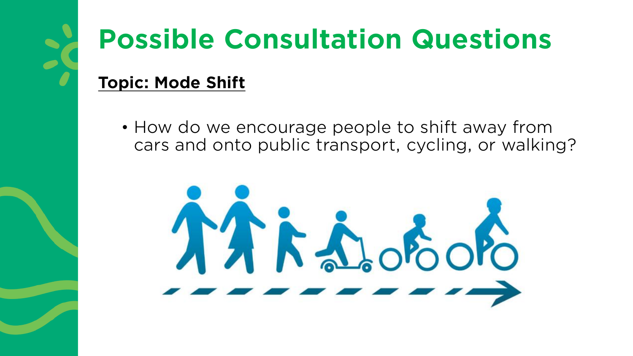# **Possible Consultation Questions**

# **Topic: Mode Shift**

• How do we encourage people to shift away from cars and onto public transport, cycling, or walking?

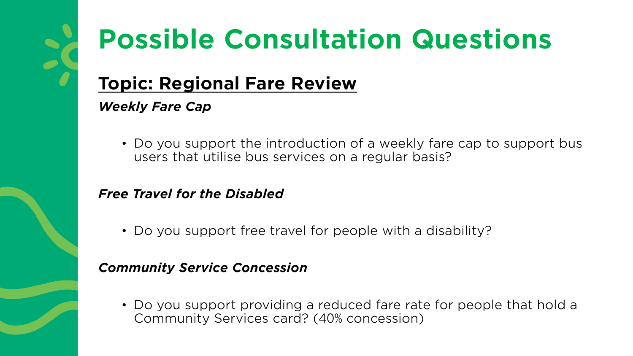# **Possible Consultation Questions**

# **Topic: Regional Fare Review**

## *Weekly Fare Cap*

• Do you support the introduction of a weekly fare cap to support bus users that utilise bus services on a regular basis?

## *Free Travel for the Disabled*

• Do you support free travel for people with a disability?

## *Community Service Concession*

• Do you support providing a reduced fare rate for people that hold a Community Services card? (40% concession)